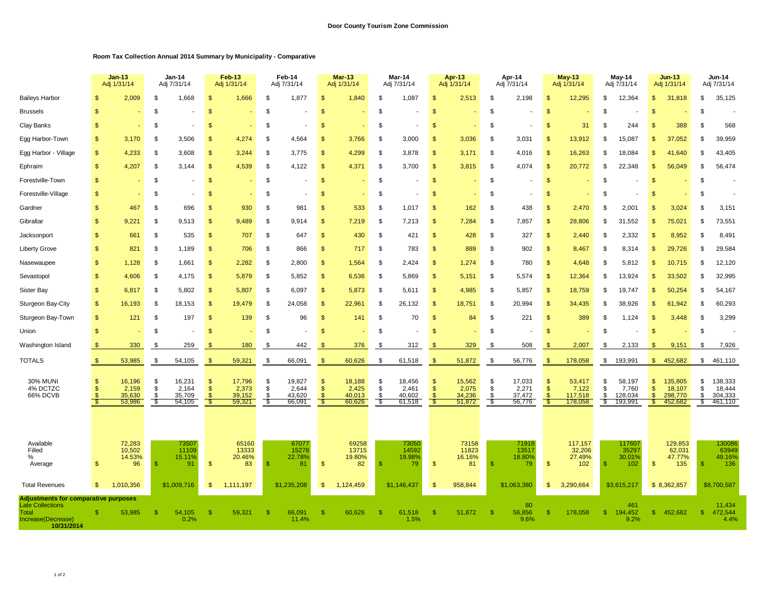## **Room Tax Collection Annual 2014 Summary by Municipality - Comparative**

|                                                                                                                            |                      | <b>Jan-13</b><br>Adj 1/31/14                  |                      | Jan-14<br>Adj 7/31/14                         |                                  | <b>Feb-13</b><br>Adj 1/31/14                |                | Feb-14<br>Adj 7/31/14                         |                                                  | <b>Mar-13</b><br>Adj 1/31/14                |                       | Mar-14<br>Adj 7/31/14                         |                      | <b>Apr-13</b><br>Adj 1/31/14              |                       | Apr-14<br>Adj 7/31/14                         |                                 | <b>May-13</b><br>Adj 1/31/14                    |                         | May-14<br>Adj 7/31/14                           |                     | <b>Jun-13</b><br>Adj 1/31/14                      |                       | <b>Jun-14</b><br>Adj 7/31/14                    |
|----------------------------------------------------------------------------------------------------------------------------|----------------------|-----------------------------------------------|----------------------|-----------------------------------------------|----------------------------------|---------------------------------------------|----------------|-----------------------------------------------|--------------------------------------------------|---------------------------------------------|-----------------------|-----------------------------------------------|----------------------|-------------------------------------------|-----------------------|-----------------------------------------------|---------------------------------|-------------------------------------------------|-------------------------|-------------------------------------------------|---------------------|---------------------------------------------------|-----------------------|-------------------------------------------------|
| <b>Baileys Harbor</b>                                                                                                      | \$                   | 2,009                                         | \$                   | 1,668                                         | \$                               | 1,666                                       | \$             | 1,877                                         | $\mathbf{s}$                                     | 1,840                                       | \$                    | 1,087                                         | $\mathfrak{s}$       | 2,513                                     | \$                    | 2,198                                         | $\mathbf{\$}$                   | 12,295                                          | \$                      | 12,364                                          | \$                  | 31,818                                            | \$                    | 35,125                                          |
| <b>Brussels</b>                                                                                                            | $\mathbf{s}$         |                                               | \$                   |                                               | \$                               |                                             | \$             |                                               | \$                                               |                                             | \$                    |                                               | \$                   |                                           | \$                    |                                               | \$                              |                                                 | \$                      |                                                 | \$                  |                                                   | \$                    |                                                 |
| Clay Banks                                                                                                                 | \$                   |                                               | \$                   |                                               | \$                               |                                             | \$             |                                               | \$                                               |                                             | \$                    |                                               | \$                   |                                           | \$                    |                                               | <b>S</b>                        | 31                                              | -\$                     | 244                                             | -S                  | 388                                               | \$                    | 568                                             |
| Egg Harbor-Town                                                                                                            | \$                   | 3,170                                         | \$                   | 3,506                                         | \$                               | 4,274                                       | \$             | 4,564                                         | $\mathsf{\$}$                                    | 3,766                                       | \$                    | 3,000                                         | \$                   | 3,036                                     | \$                    | 3,031                                         | \$                              | 13,912                                          | \$                      | 15,087                                          | £.                  | 37,052                                            | S                     | 39,959                                          |
| Egg Harbor - Village                                                                                                       | \$                   | 4,233                                         | \$                   | 3,608                                         | \$                               | 3,244                                       | \$.            | 3,775                                         | \$                                               | 4,299                                       | \$                    | 3,878                                         | \$                   | 3,171                                     | \$                    | 4,016                                         | \$                              | 16,263                                          | £.                      | 18,084                                          | \$.                 | 41,640                                            | S                     | 43,405                                          |
| Ephraim                                                                                                                    | \$                   | 4,207                                         | \$                   | 3,144                                         | $\mathfrak{s}$                   | 4,539                                       | \$             | 4,122                                         | \$                                               | 4,371                                       | \$                    | 3,700                                         | $\mathfrak{s}$       | 3,815                                     | \$                    | 4,074                                         | $\mathsf{\$}$                   | 20,772                                          | \$                      | 22,348                                          | -\$                 | 56,049                                            | \$                    | 56,474                                          |
| Forestville-Town                                                                                                           | \$                   |                                               | \$                   |                                               | \$                               |                                             | \$             |                                               | \$                                               |                                             | \$                    |                                               | $\mathfrak{s}$       |                                           | \$                    | $\blacksquare$                                | <b>S</b>                        |                                                 | \$                      |                                                 | \$                  |                                                   | \$                    |                                                 |
| Forestville-Village                                                                                                        | \$                   |                                               | \$                   |                                               | \$                               |                                             | \$             |                                               | $\mathbf{s}$                                     |                                             | \$                    |                                               | \$                   |                                           | \$                    |                                               | $\mathsf{\$}$                   |                                                 | \$                      |                                                 |                     |                                                   | \$                    |                                                 |
| Gardner                                                                                                                    | \$                   | 467                                           | \$                   | 696                                           | -S                               | 930                                         | \$             | 981                                           | \$                                               | 533                                         | \$                    | 1,017                                         | \$                   | 162                                       | \$                    | 438                                           | <b>S</b>                        | 2,470                                           | <b>β</b>                | 2,001                                           |                     | 3,024                                             | \$                    | 3,151                                           |
| Gibraltar                                                                                                                  | $\mathbf S$          | 9,221                                         | \$                   | 9,513                                         | $\mathbb{S}$                     | 9,489                                       | \$             | 9,914                                         | $\mathbf{s}$                                     | 7,219                                       | \$                    | 7,213                                         | $\mathfrak{s}$       | 7,284                                     | \$                    | 7,857                                         | $\mathbf{\$}$                   | 28,806                                          | \$                      | 31,552                                          | -S                  | 75,021                                            | S                     | 73,551                                          |
| Jacksonport                                                                                                                | \$                   | 661                                           | \$                   | 535                                           | $\mathfrak{s}$                   | 707                                         | \$             | 647                                           | $\mathsf{\$}$                                    | 430                                         | \$                    | 421                                           | $\frac{1}{2}$        | 428                                       | \$                    | 327                                           | $\mathsf{\$}$                   | 2,440                                           | \$                      | 2,332                                           | -S                  | 8,952                                             | - \$                  | 8,491                                           |
| <b>Liberty Grove</b>                                                                                                       | \$                   | 821                                           | \$                   | 1,189                                         | $\mathbb{S}$                     | 706                                         | \$             | 866                                           | $\mathbf{\$}$                                    | 717                                         | \$                    | 783                                           | $\mathfrak{s}$       | 889                                       | \$                    | 902                                           | $\mathbf{\hat{s}}$              | 8,467                                           | - \$                    | 8,314                                           | \$.                 | 29,726                                            | \$                    | 29,584                                          |
| Nasewaupee                                                                                                                 | \$                   | 1,128                                         | \$                   | 1,661                                         | \$                               | 2,282                                       | \$             | 2,800                                         | $\mathbf{s}$                                     | 1,564                                       | \$                    | 2,424                                         | $\mathsf{\$}$        | 1,274                                     | \$                    | 780                                           | \$                              | 4,648                                           | S                       | 5,812                                           |                     | 10,715                                            | \$                    | 12,120                                          |
| Sevastopol                                                                                                                 | \$                   | 4.606                                         | \$                   | 4,175                                         | \$                               | 5,879                                       | \$             | 5,852                                         | $\mathfrak{s}$                                   | 6,536                                       | \$                    | 5,869                                         | $\mathfrak{s}$       | 5,151                                     | \$                    | 5,574                                         | <b>S</b>                        | 12,364                                          | - \$                    | 13,924                                          | \$.                 | 33,502                                            | \$                    | 32,995                                          |
| <b>Sister Bay</b>                                                                                                          | \$                   | 6,817                                         | \$                   | 5,802                                         | $\mathfrak{s}$                   | 5,807                                       | \$             | 6,097                                         | $\mathbf{s}$                                     | 5,873                                       | \$                    | 5,611                                         | $\mathfrak{s}$       | 4,985                                     | \$                    | 5,857                                         | <b>S</b>                        | 18,759                                          | - \$                    | 19,747                                          | -\$                 | 50,254                                            | S                     | 54,167                                          |
| Sturgeon Bay-City                                                                                                          | $\mathfrak{S}$       | 16,193                                        | \$                   | 18,153                                        | \$                               | 19,479                                      | \$.            | 24,058                                        | $\mathbf{s}$                                     | 22,961                                      | \$                    | 26,132                                        | $\mathfrak{s}$       | 18,751                                    | \$                    | 20,994                                        | <b>S</b>                        | 34,435                                          | £.                      | 38,926                                          | -S                  | 61,942                                            | \$                    | 60,293                                          |
| Sturgeon Bay-Town                                                                                                          | $\mathsf{\$}$        | 12 <sup>7</sup>                               | \$                   | 197                                           | <sup>\$</sup>                    | 139                                         | \$             | 96                                            | $\mathbf{s}$                                     | 141                                         | \$                    | 70                                            | \$                   | 84                                        | \$                    | 221                                           | \$                              | 389                                             | S                       | 1,124                                           |                     | 3,448                                             | S                     | 3,299                                           |
| Union                                                                                                                      | \$                   |                                               | \$                   |                                               | \$.                              |                                             | \$.            |                                               | \$                                               |                                             | \$                    |                                               | \$.                  |                                           | \$.                   |                                               | $\mathfrak{s}$                  |                                                 | \$                      |                                                 | \$                  |                                                   | \$                    | $\overline{\phantom{a}}$                        |
| Washington Island                                                                                                          |                      | 330                                           | \$.                  | 259                                           |                                  | 180                                         | -S             | 442                                           |                                                  | 376                                         | \$.                   | 312                                           |                      | 329                                       | \$                    | 508                                           | $\mathfrak{L}$                  | 2,007                                           | -\$                     | 2,133                                           |                     | 9,151                                             | - \$                  | 7,926                                           |
| <b>TOTALS</b>                                                                                                              |                      | 53,985                                        | \$                   | 54,105                                        |                                  | 59,321                                      | \$             | 66,091                                        | $\mathbf{s}$                                     | 60,626                                      | \$                    | 61,518                                        |                      | 51,872                                    | \$                    | 56,776                                        | $\mathbf{s}$                    | 178,058                                         | \$                      | 193,991                                         | $\mathbb{S}$        | 452,682                                           | \$                    | 461,110                                         |
| <b>30% MUNI</b><br>4% DCTZC<br>66% DCVB                                                                                    | \$<br>\$             | 16,196<br>2,159<br>35,630<br>53,986           | \$<br>\$<br>\$<br>-S | 16,231<br>2,164<br>35,709<br>54,105           | S<br>\$                          | 17,796<br>2,373<br>39,152<br>59,321         | \$<br>\$<br>ſ. | 19,827<br>2,644<br>43,620<br>66,091           | $\mathbf{s}$<br>$\mathfrak{s}$<br>$\mathfrak{s}$ | 18,188<br>2,425<br>40,013<br>60,626         | \$<br>\$<br>\$<br>-\$ | 18,456<br>2,461<br>40,602<br>61,518           | \$<br>$\ddot{s}$     | 15,562<br>2,075<br>34,236<br>51,872       | \$<br>$\dot{s}$<br>\$ | 17,033<br>2,271<br>37,472<br>56,776           | \$<br>$\mathbf{\hat{s}}$        | 53,417<br>7,122<br>117,518<br>178,058           | \$<br>\$<br>-\$<br>- \$ | 58,197<br>7,760<br>128,034<br>193,991           | -\$<br>$\mathbf{s}$ | 135,805<br>18,107<br>298,770<br>452,682           | \$<br>\$<br>\$<br>\$. | 138,333<br>18,444<br>304,333<br>461,110         |
| Available<br>Filled<br>%<br>Average<br><b>Total Revenues</b>                                                               | \$<br>$\mathfrak{S}$ | 72,283<br>10,502<br>14.53%<br>96<br>1,010,356 | -\$                  | 73507<br>11109<br>15.11%<br>91<br>\$1,009,716 | $\mathfrak{s}$<br>$\mathfrak{s}$ | 65160<br>13333<br>20.46%<br>83<br>1,111,197 | -\$            | 67077<br>15278<br>22.78%<br>81<br>\$1,235,208 | $\mathbf{\$}$<br>$\mathbf{\$}$                   | 69258<br>13715<br>19.80%<br>82<br>1,124,459 | \$                    | 73050<br>14592<br>19.98%<br>79<br>\$1,146,437 | $\mathfrak{s}$<br>\$ | 73158<br>11823<br>16.16%<br>81<br>958,844 | -S                    | 71918<br>13517<br>18.80%<br>79<br>\$1,063,380 | $\mathbf{\$}$<br>$\mathfrak{s}$ | 117,157<br>32,206<br>27.49%<br>102<br>3,290,664 | -S                      | 117607<br>35297<br>30.01%<br>102<br>\$3,615,217 | $\mathbb{S}$        | 129,853<br>62,031<br>47.77%<br>135<br>\$8,362,857 | S                     | 130086<br>63949<br>49.16%<br>136<br>\$8,700,587 |
| <b>Adjustments for comparative purposes</b><br><b>Late Collections</b><br><b>Total</b><br>Increase(Decrease)<br>10/31/2014 | \$                   | 53,985                                        | -S                   | 54,105<br>0.2%                                | -S                               | 59,321                                      | -\$            | 66,091<br>11.4%                               | $\mathbf{s}$                                     | 60,626                                      | <sup>\$</sup>         | 61,518<br>1.5%                                | -S                   | 51,872                                    | -S                    | 80<br>56,856<br>9.6%                          | -\$                             | 178,058                                         | -\$                     | 461<br>194,452<br>9.2%                          | S.                  | 452,682                                           | -\$                   | 11,434<br>472,544<br>4.4%                       |